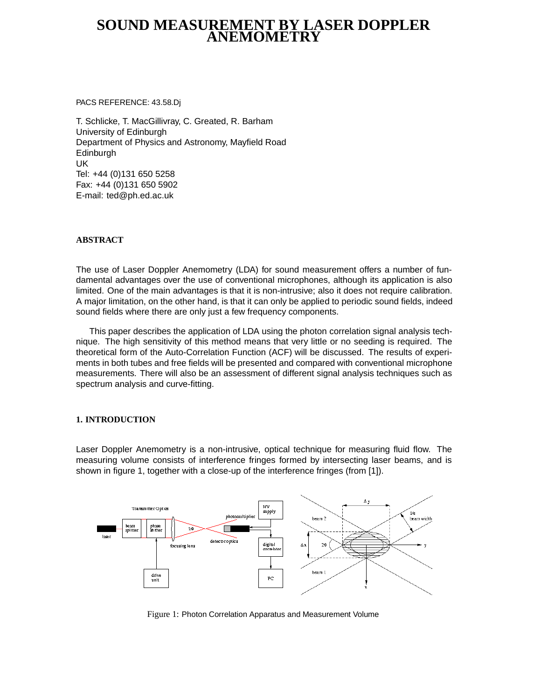# **SOUND MEASUREMENT BY LASER DOPPLER ANEMOMETRY**

PACS REFERENCE: 43.58.Dj

T. Schlicke, T. MacGillivray, C. Greated, R. Barham University of Edinburgh Department of Physics and Astronomy, Mayfield Road Edinburgh UK Tel: +44 (0)131 650 5258 Fax: +44 (0)131 650 5902 E-mail: ted@ph.ed.ac.uk

# **ABSTRACT**

The use of Laser Doppler Anemometry (LDA) for sound measurement offers a number of fundamental advantages over the use of conventional microphones, although its application is also limited. One of the main advantages is that it is non-intrusive; also it does not require calibration. A major limitation, on the other hand, is that it can only be applied to periodic sound fields, indeed sound fields where there are only just a few frequency components.

This paper describes the application of LDA using the photon correlation signal analysis technique. The high sensitivity of this method means that very little or no seeding is required. The theoretical form of the Auto-Correlation Function (ACF) will be discussed. The results of experiments in both tubes and free fields will be presented and compared with conventional microphone measurements. There will also be an assessment of different signal analysis techniques such as spectrum analysis and curve-fitting.

## **1. INTRODUCTION**

Laser Doppler Anemometry is a non-intrusive, optical technique for measuring fluid flow. The measuring volume consists of interference fringes formed by intersecting laser beams, and is shown in figure 1, together with a close-up of the interference fringes (from [1]).



Figure 1: Photon Correlation Apparatus and Measurement Volume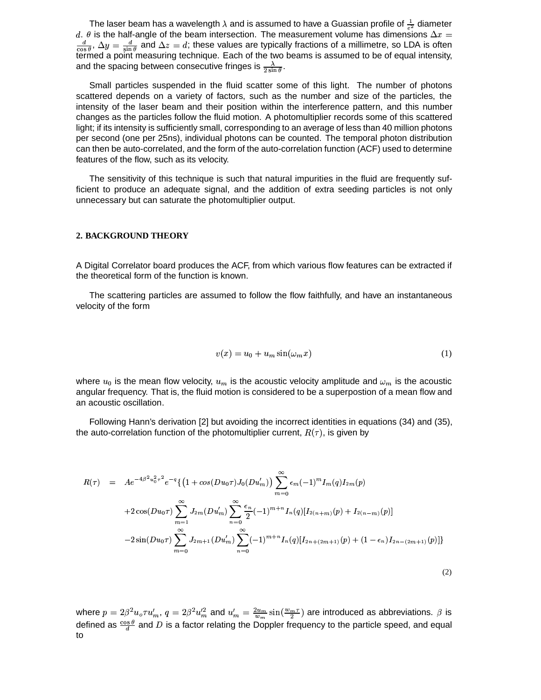The laser beam has a wavelength  $\lambda$  and is assumed to have a Guassian profile of  $\frac{1}{\sigma^2}$  diameter  $d.$   $\theta$  is the half-angle of the beam intersection. The measurement volume has dimensions  $\Delta x$  $\frac{d}{\cos \theta}$ ,  $\Delta y = \frac{d}{\sin \theta}$  and  $\Delta z$  $\frac{d}{\sin \theta}$  and  $\Delta z = d$ ; these values are typically fractions of a millimetre, so LDA is often termed a point measuring technique. Each of the two beams is assumed to be of equal intensity, and the spacing between consecutive fringes is  $\frac{\lambda}{2 \sin \theta}$ .

Small particles suspended in the fluid scatter some of this light. The number of photons scattered depends on a variety of factors, such as the number and size of the particles, the intensity of the laser beam and their position within the interference pattern, and this number changes as the particles follow the fluid motion. A photomultiplier records some of this scattered light; if its intensity is sufficiently small, corresponding to an average of less than 40 million photons per second (one per 25ns), individual photons can be counted. The temporal photon distribution can then be auto-correlated, and the form of the auto-correlation function (ACF) used to determine features of the flow, such as its velocity.

The sensitivity of this technique is such that natural impurities in the fluid are frequently sufficient to produce an adequate signal, and the addition of extra seeding particles is not only unnecessary but can saturate the photomultiplier output.

#### **2. BACKGROUND THEORY**

A Digital Correlator board produces the ACF, from which various flow features can be extracted if the theoretical form of the function is known.

The scattering particles are assumed to follow the flow faithfully, and have an instantaneous velocity of the form

$$
v(x) = u_0 + u_m \sin(\omega_m x) \tag{1}
$$

(2)

where  $u_0$  is the mean flow velocity,  $u_m$  is the acoustic velocity amplitude and  $\omega_m$  is the acoustic angular frequency. That is, the fluid motion is considered to be a superpostion of a mean flow and an acoustic oscillation.

Following Hann's derivation [2] but avoiding the incorrect identities in equations (34) and (35), the auto-correlation function of the photomultiplier current,  $R(\tau)$ , is given by

$$
R(\tau) = Ae^{-4\beta^2 u_0^2 \tau^2} e^{-q} \{ (1 + cos(Du_0 \tau) J_0(Du_m')) \sum_{m=0}^{\infty} \epsilon_m (-1)^m I_m(q) I_{2m}(p) + 2 cos(Du_0 \tau) \sum_{m=1}^{\infty} J_{2m}(Du_m') \sum_{n=0}^{\infty} \frac{\epsilon_n}{2} (-1)^{m+n} I_n(q) [I_{2(n+m)}(p) + I_{2(n-m)}(p)] - 2 sin(Du_0 \tau) \sum_{m=0}^{\infty} J_{2m+1}(Du_m') \sum_{n=0}^{\infty} (-1)^{m+n} I_n(q) [I_{2n+(2m+1)}(p) + (1 - \epsilon_n) I_{2n-(2m+1)}(p)] \}
$$

where  $p=2\beta^2 u_o\tau u_m',\,q=1$  $^{2}u_{o}\tau u'_{m},\ q=2\beta^{2}u_{m}^{\prime2}$  and  $u_{n}^{\prime}$  $^{2}u_{m}^{\prime}$  and  $u_{m}^{\prime}=\frac{2u_{m}}{m}\sin(\frac{w_{m}\tau}{2})$  $\frac{2u_m}{u_m} \sin(\frac{w_m \tau}{2})$  are introduced as abbreviations.  $\beta$  is defined as  $\frac{\cos \theta}{\sin \theta}$  and D is a factor relating the Doppler frequency to the particle speed, and equal to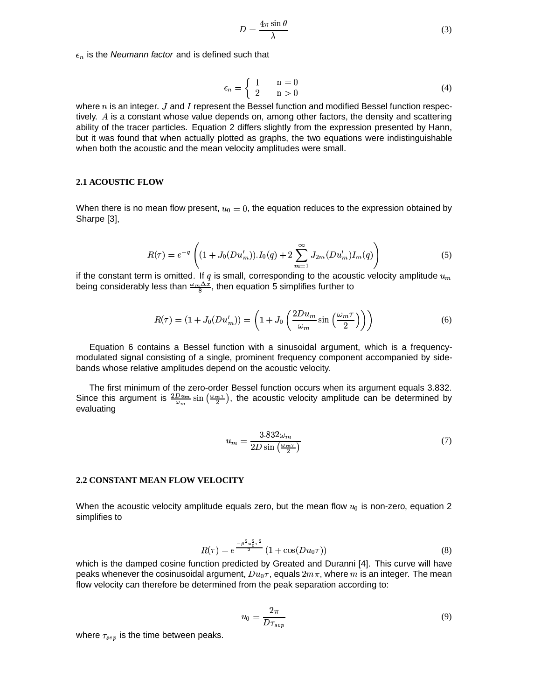$$
D = \frac{4\pi\sin\theta}{\lambda} \tag{3}
$$

 $\epsilon_n$  is the Neumann factor and is defined such that

$$
\epsilon_n = \begin{cases} 1 & n = 0 \\ 2 & n > 0 \end{cases} \tag{4}
$$

where  $n$  is an integer. J and I represent the Bessel function and modified Bessel function respectively.  $A$  is a constant whose value depends on, among other factors, the density and scattering ability of the tracer particles. Equation 2 differs slightly from the expression presented by Hann, but it was found that when actually plotted as graphs, the two equations were indistinguishable when both the acoustic and the mean velocity amplitudes were small.

#### **2.1 ACOUSTIC FLOW**

When there is no mean flow present,  $u_0 = 0$ , the equation reduces to the expression obtained by Sharpe [3],

$$
R(\tau) = e^{-q} \left( (1 + J_0(Du_m')) \cdot I_0(q) + 2 \sum_{m=1}^{\infty} J_{2m}(Du_m') I_m(q) \right) \tag{5}
$$

if the constant term is omitted. If  $q$  is small, corresponding to the acoustic velocity amplitude  $u_m$ being considerably less than  $\frac{\omega_m \Delta x}{8}$ , then equation 5 simplifies further to

$$
R(\tau) = (1 + J_0(Du'_m)) = \left(1 + J_0\left(\frac{2Du_m}{\omega_m}\sin\left(\frac{\omega_m\tau}{2}\right)\right)\right)
$$
(6)

Equation 6 contains a Bessel function with a sinusoidal argument, which is a frequencymodulated signal consisting of a single, prominent frequency component accompanied by sidebands whose relative amplitudes depend on the acoustic velocity.

The first minimum of the zero-order Bessel function occurs when its argument equals 3.832. Since this argument is  $\frac{2Du_m}{\omega_m}$  sin  $\left(\frac{\omega_m\tau}{2}\right)$ , the acoustic velocity amplitude can be determined by evaluating

$$
u_m = \frac{3.832\omega_m}{2D\sin\left(\frac{\omega_m\tau}{2}\right)}\tag{7}
$$

#### **2.2 CONSTANT MEAN FLOW VELOCITY**

When the acoustic velocity amplitude equals zero, but the mean flow  $u_0$  is non-zero, equation 2 simplifies to

$$
R(\tau) = e^{\frac{-\beta^2 u_0^2 \tau^2}{2}} (1 + \cos(Du_0 \tau))
$$
\n(8)

which is the damped cosine function predicted by Greated and Duranni [4]. This curve will have peaks whenever the cosinusoidal argument,  $Du_{0}\tau$ , equals  $2m\pi$ , where m is an integer. The mean flow velocity can therefore be determined from the peak separation according to:

$$
u_0 = \frac{2\pi}{D\tau_{sep}}\tag{9}
$$

where  $\tau_{sep}$  is the time between peaks.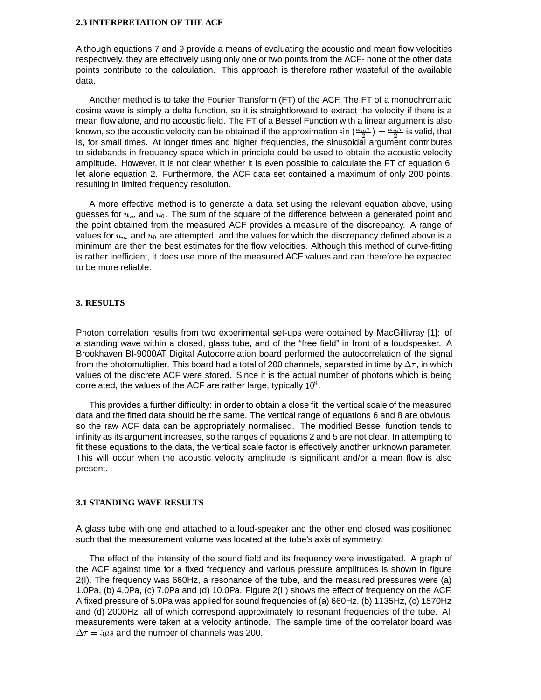#### **2.3 INTERPRETATION OF THE ACF**

Although equations 7 and 9 provide a means of evaluating the acoustic and mean flow velocities respectively, they are effectively using only one or two points from the ACF- none of the other data points contribute to the calculation. This approach is therefore rather wasteful of the available data.

Another method is to take the Fourier Transform (FT) of the ACF. The FT of a monochromatic cosine wave is simply a delta function, so it is straightforward to extract the velocity if there is a mean flow alone, and no acoustic field. The FT of a Bessel Function with a linear argument is also known, so the acoustic velocity can be obtained if the approximation  $\sin\left(\frac{\omega_m\tau}{2}\right) = \frac{\omega_m\tau}{2}$  is valid, that is, for small times. At longer times and higher frequencies, the sinusoidal argument contributes to sidebands in frequency space which in principle could be used to obtain the acoustic velocity amplitude. However, it is not clear whether it is even possible to calculate the FT of equation 6, let alone equation 2. Furthermore, the ACF data set contained a maximum of only 200 points, resulting in limited frequency resolution.

A more effective method is to generate a data set using the relevant equation above, using guesses for  $u_m$  and  $u_0$ . The sum of the square of the difference between a generated point and the point obtained from the measured ACF provides a measure of the discrepancy. A range of values for  $u_m$  and  $u_0$  are attempted, and the values for which the discrepancy defined above is a minimum are then the best estimates for the flow velocities. Although this method of curve-fitting is rather inefficient, it does use more of the measured ACF values and can therefore be expected to be more reliable.

#### **3. RESULTS**

Photon correlation results from two experimental set-ups were obtained by MacGillivray [1]: of a standing wave within a closed, glass tube, and of the "free field" in front of a loudspeaker. A Brookhaven BI-9000AT Digital Autocorrelation board performed the autocorrelation of the signal from the photomultiplier. This board had a total of 200 channels, separated in time by  $\Delta\tau$ , in which values of the discrete ACF were stored. Since it is the actual number of photons which is being correlated, the values of the ACF are rather large, typically  $10^9$ .

This provides a further difficulty: in order to obtain a close fit, the vertical scale of the measured data and the fitted data should be the same. The vertical range of equations 6 and 8 are obvious, so the raw ACF data can be appropriately normalised. The modified Bessel function tends to infinity as its argument increases, so the ranges of equations 2 and 5 are not clear. In attempting to fit these equations to the data, the vertical scale factor is effectively another unknown parameter. This will occur when the acoustic velocity amplitude is significant and/or a mean flow is also present.

## **3.1 STANDING WAVE RESULTS**

A glass tube with one end attached to a loud-speaker and the other end closed was positioned such that the measurement volume was located at the tube's axis of symmetry.

The effect of the intensity of the sound field and its frequency were investigated. A graph of the ACF against time for a fixed frequency and various pressure amplitudes is shown in figure 2(I). The frequency was 660Hz, a resonance of the tube, and the measured pressures were (a) 1.0Pa, (b) 4.0Pa, (c) 7.0Pa and (d) 10.0Pa. Figure 2(II) shows the effect of frequency on the ACF. A fixed pressure of 5.0Pa was applied for sound frequencies of (a) 660Hz, (b) 1135Hz, (c) 1570Hz and (d) 2000Hz, all of which correspond approximately to resonant frequencies of the tube. All measurements were taken at a velocity antinode. The sample time of the correlator board was  $\Delta \tau = 5 \mu s$  and the number of channels was 200.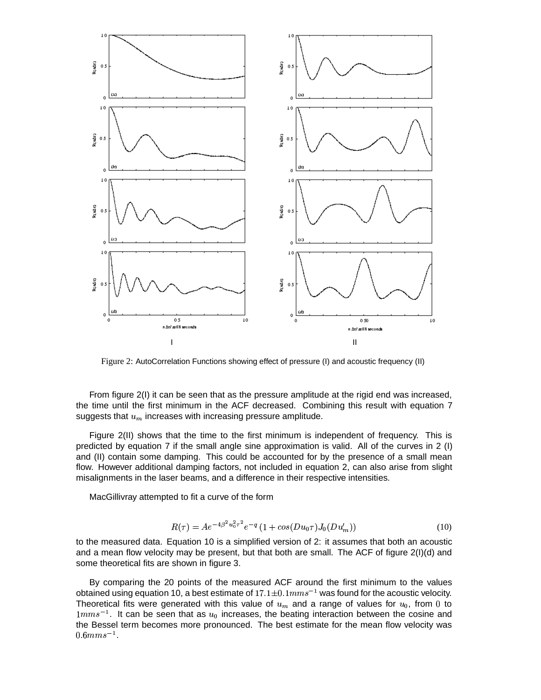

Figure 2: AutoCorrelation Functions showing effect of pressure (I) and acoustic frequency (II)

From figure 2(I) it can be seen that as the pressure amplitude at the rigid end was increased, the time until the first minimum in the ACF decreased. Combining this result with equation 7 suggests that  $u_m$  increases with increasing pressure amplitude.

Figure 2(II) shows that the time to the first minimum is independent of frequency. This is predicted by equation 7 if the small angle sine approximation is valid. All of the curves in 2 (I) and (II) contain some damping. This could be accounted for by the presence of a small mean flow. However additional damping factors, not included in equation 2, can also arise from slight misalignments in the laser beams, and a difference in their respective intensities.

MacGillivray attempted to fit a curve of the form

$$
R(\tau) = Ae^{-4\beta^2 u_0^2 \tau^2} e^{-q} \left(1 + \cos(Du_0 \tau) J_0(Du'_m)\right)
$$
\n(10)

to the measured data. Equation 10 is a simplified version of 2: it assumes that both an acoustic and a mean flow velocity may be present, but that both are small. The ACF of figure 2(I)(d) and some theoretical fits are shown in figure 3.

By comparing the 20 points of the measured ACF around the first minimum to the values obtained using equation 10, a best estimate of  $17.1 \pm 0.1 mm s^{-1}$  was found for the acoustic velocity. Theoretical fits were generated with this value of  $u_m$  and a range of values for  $u_0$ , from 0 to  $1mm s^{-1}$ . It can be seen that as  $u_0$  increases, the beating interaction between the cosine and the Bessel term becomes more pronounced. The best estimate for the mean flow velocity was  $0.6 mm s^{-1}$  .